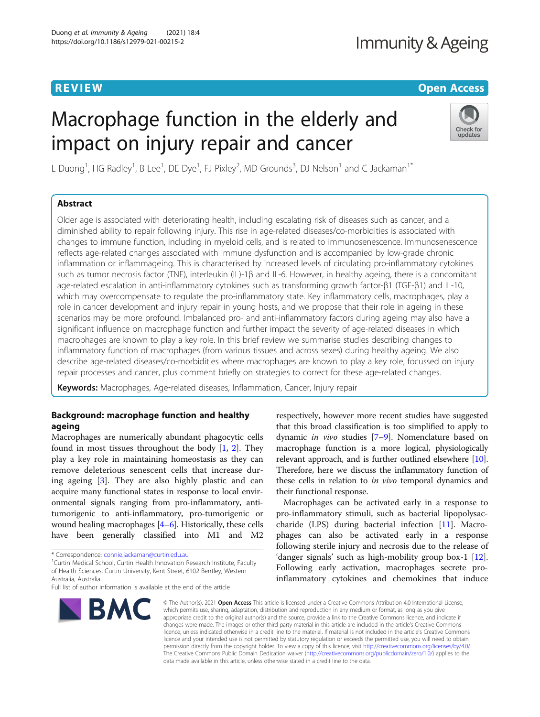# **REVIEW CONTROL** CONTROL CONTROL CONTROL CONTROL CONTROL CONTROL CONTROL CONTROL CONTROL CONTROL CONTROL CONTROL

# Macrophage function in the elderly and impact on injury repair and cancer



L Duong<sup>1</sup>, HG Radley<sup>1</sup>, B Lee<sup>1</sup>, DE Dye<sup>1</sup>, FJ Pixley<sup>2</sup>, MD Grounds<sup>3</sup>, DJ Nelson<sup>1</sup> and C Jackaman<sup>1\*</sup>

# Abstract

Older age is associated with deteriorating health, including escalating risk of diseases such as cancer, and a diminished ability to repair following injury. This rise in age-related diseases/co-morbidities is associated with changes to immune function, including in myeloid cells, and is related to immunosenescence. Immunosenescence reflects age-related changes associated with immune dysfunction and is accompanied by low-grade chronic inflammation or inflammageing. This is characterised by increased levels of circulating pro-inflammatory cytokines such as tumor necrosis factor (TNF), interleukin (IL)-1β and IL-6. However, in healthy ageing, there is a concomitant age-related escalation in anti-inflammatory cytokines such as transforming growth factor-β1 (TGF-β1) and IL-10, which may overcompensate to regulate the pro-inflammatory state. Key inflammatory cells, macrophages, play a role in cancer development and injury repair in young hosts, and we propose that their role in ageing in these scenarios may be more profound. Imbalanced pro- and anti-inflammatory factors during ageing may also have a significant influence on macrophage function and further impact the severity of age-related diseases in which macrophages are known to play a key role. In this brief review we summarise studies describing changes to inflammatory function of macrophages (from various tissues and across sexes) during healthy ageing. We also describe age-related diseases/co-morbidities where macrophages are known to play a key role, focussed on injury repair processes and cancer, plus comment briefly on strategies to correct for these age-related changes.

Keywords: Macrophages, Age-related diseases, Inflammation, Cancer, Injury repair

# Background: macrophage function and healthy ageing

Macrophages are numerically abundant phagocytic cells found in most tissues throughout the body [[1,](#page-7-0) [2\]](#page-7-0). They play a key role in maintaining homeostasis as they can remove deleterious senescent cells that increase during ageing [\[3](#page-7-0)]. They are also highly plastic and can acquire many functional states in response to local environmental signals ranging from pro-inflammatory, antitumorigenic to anti-inflammatory, pro-tumorigenic or wound healing macrophages [\[4](#page-7-0)–[6\]](#page-7-0). Historically, these cells have been generally classified into M1 and M2

<sup>1</sup> Curtin Medical School, Curtin Health Innovation Research Institute, Faculty of Health Sciences, Curtin University, Kent Street, 6102 Bentley, Western Australia, Australia

Full list of author information is available at the end of the article



respectively, however more recent studies have suggested that this broad classification is too simplified to apply to dynamic in vivo studies [[7](#page-7-0)–[9](#page-7-0)]. Nomenclature based on macrophage function is a more logical, physiologically relevant approach, and is further outlined elsewhere [[10](#page-7-0)]. Therefore, here we discuss the inflammatory function of these cells in relation to *in vivo* temporal dynamics and their functional response.

Macrophages can be activated early in a response to pro-inflammatory stimuli, such as bacterial lipopolysaccharide (LPS) during bacterial infection [\[11](#page-7-0)]. Macrophages can also be activated early in a response following sterile injury and necrosis due to the release of 'danger signals' such as high-mobility group box-1 [\[12](#page-7-0)]. Following early activation, macrophages secrete proinflammatory cytokines and chemokines that induce

© The Author(s), 2021 **Open Access** This article is licensed under a Creative Commons Attribution 4.0 International License, which permits use, sharing, adaptation, distribution and reproduction in any medium or format, as long as you give appropriate credit to the original author(s) and the source, provide a link to the Creative Commons licence, and indicate if changes were made. The images or other third party material in this article are included in the article's Creative Commons licence, unless indicated otherwise in a credit line to the material. If material is not included in the article's Creative Commons licence and your intended use is not permitted by statutory regulation or exceeds the permitted use, you will need to obtain permission directly from the copyright holder. To view a copy of this licence, visit [http://creativecommons.org/licenses/by/4.0/.](http://creativecommons.org/licenses/by/4.0/) The Creative Commons Public Domain Dedication waiver [\(http://creativecommons.org/publicdomain/zero/1.0/](http://creativecommons.org/publicdomain/zero/1.0/)) applies to the data made available in this article, unless otherwise stated in a credit line to the data.

<sup>\*</sup> Correspondence: [connie.jackaman@curtin.edu.au](mailto:connie.jackaman@curtin.edu.au) <sup>1</sup>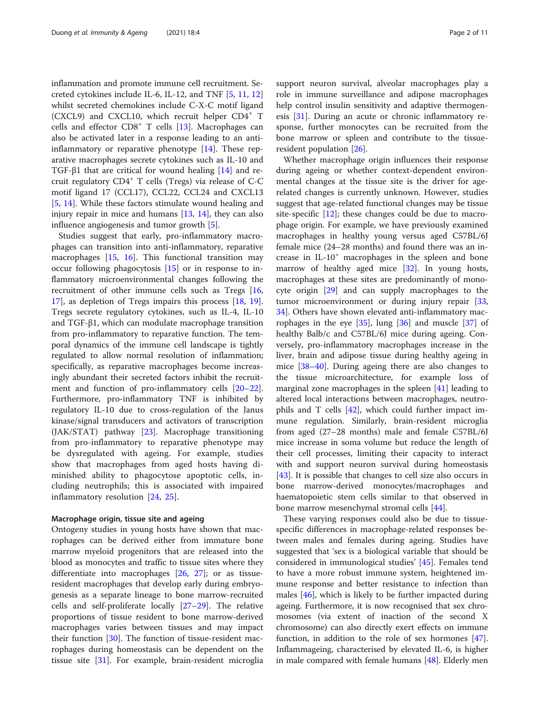inflammation and promote immune cell recruitment. Secreted cytokines include IL-6, IL-12, and TNF [\[5](#page-7-0), [11](#page-7-0), [12](#page-7-0)] whilst secreted chemokines include C-X-C motif ligand  $(CXCL9)$  and  $CXCL10$ , which recruit helper  $CD4^+$  T cells and effector CD8<sup>+</sup> T cells [[13](#page-7-0)]. Macrophages can also be activated later in a response leading to an antiinflammatory or reparative phenotype  $[14]$  $[14]$ . These reparative macrophages secrete cytokines such as IL-10 and TGF- $\beta$ 1 that are critical for wound healing [\[14](#page-7-0)] and recruit regulatory CD4<sup>+</sup> T cells (Tregs) via release of C-C motif ligand 17 (CCL17), CCL22, CCL24 and CXCL13 [[5,](#page-7-0) [14\]](#page-7-0). While these factors stimulate wound healing and injury repair in mice and humans [[13](#page-7-0), [14\]](#page-7-0), they can also influence angiogenesis and tumor growth [\[5](#page-7-0)].

Studies suggest that early, pro-inflammatory macrophages can transition into anti-inflammatory, reparative macrophages [\[15,](#page-7-0) [16\]](#page-7-0). This functional transition may occur following phagocytosis [[15\]](#page-7-0) or in response to inflammatory microenvironmental changes following the recruitment of other immune cells such as Tregs [[16](#page-7-0), [17\]](#page-7-0), as depletion of Tregs impairs this process [\[18](#page-7-0), [19](#page-7-0)]. Tregs secrete regulatory cytokines, such as IL-4, IL-10 and TGF-β1, which can modulate macrophage transition from pro-inflammatory to reparative function. The temporal dynamics of the immune cell landscape is tightly regulated to allow normal resolution of inflammation; specifically, as reparative macrophages become increasingly abundant their secreted factors inhibit the recruitment and function of pro-inflammatory cells [[20](#page-7-0)–[22](#page-7-0)]. Furthermore, pro-inflammatory TNF is inhibited by regulatory IL-10 due to cross-regulation of the Janus kinase/signal transducers and activators of transcription (JAK/STAT) pathway [[23\]](#page-7-0). Macrophage transitioning from pro-inflammatory to reparative phenotype may be dysregulated with ageing. For example, studies show that macrophages from aged hosts having diminished ability to phagocytose apoptotic cells, including neutrophils; this is associated with impaired inflammatory resolution [[24,](#page-7-0) [25\]](#page-7-0).

#### Macrophage origin, tissue site and ageing

Ontogeny studies in young hosts have shown that macrophages can be derived either from immature bone marrow myeloid progenitors that are released into the blood as monocytes and traffic to tissue sites where they differentiate into macrophages [\[26](#page-7-0), [27](#page-7-0)]; or as tissueresident macrophages that develop early during embryogenesis as a separate lineage to bone marrow-recruited cells and self-proliferate locally  $[27-29]$  $[27-29]$  $[27-29]$  $[27-29]$  $[27-29]$ . The relative proportions of tissue resident to bone marrow-derived macrophages varies between tissues and may impact their function [\[30\]](#page-7-0). The function of tissue-resident macrophages during homeostasis can be dependent on the tissue site [[31\]](#page-7-0). For example, brain-resident microglia support neuron survival, alveolar macrophages play a role in immune surveillance and adipose macrophages help control insulin sensitivity and adaptive thermogenesis  $[31]$  $[31]$ . During an acute or chronic inflammatory response, further monocytes can be recruited from the bone marrow or spleen and contribute to the tissueresident population [\[26](#page-7-0)].

Whether macrophage origin influences their response during ageing or whether context-dependent environmental changes at the tissue site is the driver for agerelated changes is currently unknown. However, studies suggest that age-related functional changes may be tissue site-specific  $[12]$  $[12]$ ; these changes could be due to macrophage origin. For example, we have previously examined macrophages in healthy young versus aged C57BL/6J female mice (24–28 months) and found there was an increase in  $IL-10<sup>+</sup>$  macrophages in the spleen and bone marrow of healthy aged mice [\[32](#page-8-0)]. In young hosts, macrophages at these sites are predominantly of monocyte origin [[29\]](#page-7-0) and can supply macrophages to the tumor microenvironment or during injury repair [[33](#page-8-0), [34\]](#page-8-0). Others have shown elevated anti-inflammatory macrophages in the eye  $[35]$  $[35]$ , lung  $[36]$  $[36]$  $[36]$  and muscle  $[37]$  $[37]$  of healthy Balb/c and C57BL/6J mice during ageing. Conversely, pro-inflammatory macrophages increase in the liver, brain and adipose tissue during healthy ageing in mice [[38](#page-8-0)–[40](#page-8-0)]. During ageing there are also changes to the tissue microarchitecture, for example loss of marginal zone macrophages in the spleen [[41\]](#page-8-0) leading to altered local interactions between macrophages, neutrophils and T cells [[42\]](#page-8-0), which could further impact immune regulation. Similarly, brain-resident microglia from aged (27–28 months) male and female C57BL/6J mice increase in soma volume but reduce the length of their cell processes, limiting their capacity to interact with and support neuron survival during homeostasis [[43\]](#page-8-0). It is possible that changes to cell size also occurs in bone marrow-derived monocytes/macrophages and haematopoietic stem cells similar to that observed in bone marrow mesenchymal stromal cells [[44](#page-8-0)].

These varying responses could also be due to tissuespecific differences in macrophage-related responses between males and females during ageing. Studies have suggested that 'sex is a biological variable that should be considered in immunological studies' [\[45](#page-8-0)]. Females tend to have a more robust immune system, heightened immune response and better resistance to infection than males [\[46](#page-8-0)], which is likely to be further impacted during ageing. Furthermore, it is now recognised that sex chromosomes (via extent of inaction of the second X chromosome) can also directly exert effects on immune function, in addition to the role of sex hormones [\[47](#page-8-0)]. Inflammageing, characterised by elevated IL-6, is higher in male compared with female humans [\[48\]](#page-8-0). Elderly men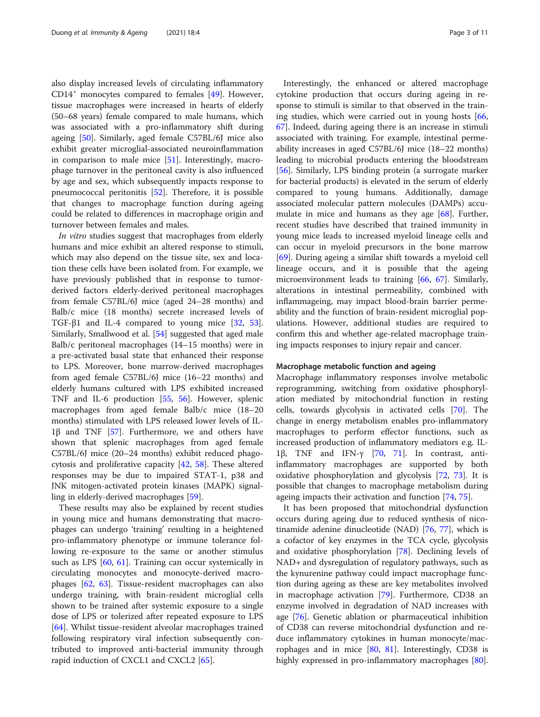also display increased levels of circulating inflammatory  $CD14<sup>+</sup>$  monocytes compared to females [\[49](#page-8-0)]. However, tissue macrophages were increased in hearts of elderly (50–68 years) female compared to male humans, which was associated with a pro-inflammatory shift during ageing [\[50](#page-8-0)]. Similarly, aged female C57BL/6J mice also exhibit greater microglial-associated neuroinflammation in comparison to male mice [\[51](#page-8-0)]. Interestingly, macrophage turnover in the peritoneal cavity is also influenced by age and sex, which subsequently impacts response to pneumococcal peritonitis [[52](#page-8-0)]. Therefore, it is possible that changes to macrophage function during ageing could be related to differences in macrophage origin and turnover between females and males.

In vitro studies suggest that macrophages from elderly humans and mice exhibit an altered response to stimuli, which may also depend on the tissue site, sex and location these cells have been isolated from. For example, we have previously published that in response to tumorderived factors elderly-derived peritoneal macrophages from female C57BL/6J mice (aged 24–28 months) and Balb/c mice (18 months) secrete increased levels of TGF- $\beta$ 1 and IL-4 compared to young mice [[32,](#page-8-0) [53](#page-8-0)]. Similarly, Smallwood et al. [[54](#page-8-0)] suggested that aged male Balb/c peritoneal macrophages (14–15 months) were in a pre-activated basal state that enhanced their response to LPS. Moreover, bone marrow-derived macrophages from aged female C57BL/6J mice (16–22 months) and elderly humans cultured with LPS exhibited increased TNF and IL-6 production [\[55](#page-8-0), [56\]](#page-8-0). However, splenic macrophages from aged female Balb/c mice (18–20 months) stimulated with LPS released lower levels of IL-1β and TNF [[57](#page-8-0)]. Furthermore, we and others have shown that splenic macrophages from aged female C57BL/6J mice (20–24 months) exhibit reduced phagocytosis and proliferative capacity [[42](#page-8-0), [58](#page-8-0)]. These altered responses may be due to impaired STAT-1, p38 and JNK mitogen-activated protein kinases (MAPK) signalling in elderly-derived macrophages [\[59](#page-8-0)].

These results may also be explained by recent studies in young mice and humans demonstrating that macrophages can undergo 'training' resulting in a heightened pro-inflammatory phenotype or immune tolerance following re-exposure to the same or another stimulus such as LPS [\[60](#page-8-0), [61\]](#page-8-0). Training can occur systemically in circulating monocytes and monocyte-derived macrophages [[62](#page-8-0), [63](#page-8-0)]. Tissue-resident macrophages can also undergo training, with brain-resident microglial cells shown to be trained after systemic exposure to a single dose of LPS or tolerized after repeated exposure to LPS [[64\]](#page-8-0). Whilst tissue-resident alveolar macrophages trained following respiratory viral infection subsequently contributed to improved anti-bacterial immunity through rapid induction of CXCL1 and CXCL2 [[65\]](#page-8-0).

Interestingly, the enhanced or altered macrophage cytokine production that occurs during ageing in response to stimuli is similar to that observed in the training studies, which were carried out in young hosts  $[66, 66]$  $[66, 66]$  $[66, 66]$ [67\]](#page-8-0). Indeed, during ageing there is an increase in stimuli associated with training. For example, intestinal permeability increases in aged C57BL/6J mice (18–22 months) leading to microbial products entering the bloodstream [[56\]](#page-8-0). Similarly, LPS binding protein (a surrogate marker for bacterial products) is elevated in the serum of elderly compared to young humans. Additionally, damage associated molecular pattern molecules (DAMPs) accumulate in mice and humans as they age [\[68\]](#page-8-0). Further, recent studies have described that trained immunity in young mice leads to increased myeloid lineage cells and can occur in myeloid precursors in the bone marrow [[69\]](#page-8-0). During ageing a similar shift towards a myeloid cell lineage occurs, and it is possible that the ageing microenvironment leads to training [[66,](#page-8-0) [67](#page-8-0)]. Similarly, alterations in intestinal permeability, combined with inflammageing, may impact blood-brain barrier permeability and the function of brain-resident microglial populations. However, additional studies are required to confirm this and whether age-related macrophage training impacts responses to injury repair and cancer.

#### Macrophage metabolic function and ageing

Macrophage inflammatory responses involve metabolic reprogramming, switching from oxidative phosphorylation mediated by mitochondrial function in resting cells, towards glycolysis in activated cells [\[70](#page-8-0)]. The change in energy metabolism enables pro-inflammatory macrophages to perform effector functions, such as increased production of inflammatory mediators e.g. IL-1β, TNF and IFN-γ [\[70](#page-8-0), [71\]](#page-8-0). In contrast, antiinflammatory macrophages are supported by both oxidative phosphorylation and glycolysis [[72,](#page-8-0) [73\]](#page-8-0). It is possible that changes to macrophage metabolism during ageing impacts their activation and function [[74](#page-8-0), [75](#page-8-0)].

It has been proposed that mitochondrial dysfunction occurs during ageing due to reduced synthesis of nicotinamide adenine dinucleotide (NAD) [\[76,](#page-8-0) [77\]](#page-8-0), which is a cofactor of key enzymes in the TCA cycle, glycolysis and oxidative phosphorylation [\[78\]](#page-9-0). Declining levels of NAD+ and dysregulation of regulatory pathways, such as the kynurenine pathway could impact macrophage function during ageing as these are key metabolites involved in macrophage activation [[79](#page-9-0)]. Furthermore, CD38 an enzyme involved in degradation of NAD increases with age [[76\]](#page-8-0). Genetic ablation or pharmaceutical inhibition of CD38 can reverse mitochondrial dysfunction and reduce inflammatory cytokines in human monocyte/macrophages and in mice  $[80, 81]$  $[80, 81]$  $[80, 81]$  $[80, 81]$ . Interestingly, CD38 is highly expressed in pro-inflammatory macrophages [\[80](#page-9-0)].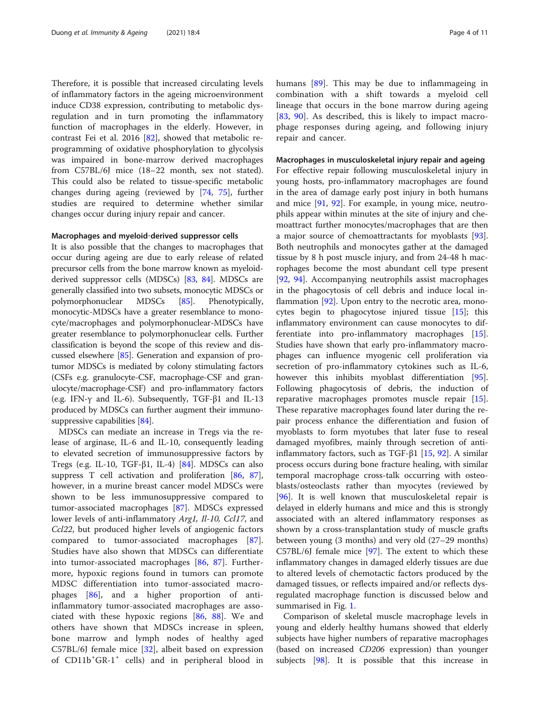Therefore, it is possible that increased circulating levels of inflammatory factors in the ageing microenvironment induce CD38 expression, contributing to metabolic dysregulation and in turn promoting the inflammatory function of macrophages in the elderly. However, in contrast Fei et al. 2016 [\[82](#page-9-0)], showed that metabolic reprogramming of oxidative phosphorylation to glycolysis was impaired in bone-marrow derived macrophages from C57BL/6J mice (18–22 month, sex not stated). This could also be related to tissue-specific metabolic changes during ageing (reviewed by [\[74](#page-8-0), [75\]](#page-8-0), further studies are required to determine whether similar changes occur during injury repair and cancer.

#### Macrophages and myeloid‐derived suppressor cells

It is also possible that the changes to macrophages that occur during ageing are due to early release of related precursor cells from the bone marrow known as myeloidderived suppressor cells (MDSCs) [\[83,](#page-9-0) [84](#page-9-0)]. MDSCs are generally classified into two subsets, monocytic MDSCs or polymorphonuclear MDSCs [\[85\]](#page-9-0). Phenotypically, monocytic-MDSCs have a greater resemblance to monocyte/macrophages and polymorphonuclear-MDSCs have greater resemblance to polymorphonuclear cells. Further classification is beyond the scope of this review and discussed elsewhere [\[85](#page-9-0)]. Generation and expansion of protumor MDSCs is mediated by colony stimulating factors (CSFs e.g. granulocyte-CSF, macrophage-CSF and granulocyte/macrophage-CSF) and pro-inflammatory factors (e.g. IFN-γ and IL-6). Subsequently, TGF-β1 and IL-13 produced by MDSCs can further augment their immunosuppressive capabilities [[84](#page-9-0)].

MDSCs can mediate an increase in Tregs via the release of arginase, IL-6 and IL-10, consequently leading to elevated secretion of immunosuppressive factors by Tregs (e.g. IL-10, TGF-β1, IL-4) [[84](#page-9-0)]. MDSCs can also suppress T cell activation and proliferation [\[86](#page-9-0), [87](#page-9-0)], however, in a murine breast cancer model MDSCs were shown to be less immunosuppressive compared to tumor-associated macrophages [[87\]](#page-9-0). MDSCs expressed lower levels of anti-inflammatory Arg1, Il-10, Ccl17, and Ccl22, but produced higher levels of angiogenic factors compared to tumor-associated macrophages [\[87](#page-9-0)]. Studies have also shown that MDSCs can differentiate into tumor-associated macrophages [[86,](#page-9-0) [87](#page-9-0)]. Furthermore, hypoxic regions found in tumors can promote MDSC differentiation into tumor-associated macrophages [[86\]](#page-9-0), and a higher proportion of antiinflammatory tumor-associated macrophages are associated with these hypoxic regions [[86,](#page-9-0) [88\]](#page-9-0). We and others have shown that MDSCs increase in spleen, bone marrow and lymph nodes of healthy aged C57BL/6J female mice [[32\]](#page-8-0), albeit based on expression of CD11b<sup>+</sup>GR-1<sup>+</sup> cells) and in peripheral blood in

humans [\[89](#page-9-0)]. This may be due to inflammageing in combination with a shift towards a myeloid cell lineage that occurs in the bone marrow during ageing [[83,](#page-9-0) [90\]](#page-9-0). As described, this is likely to impact macrophage responses during ageing, and following injury repair and cancer.

## Macrophages in musculoskeletal injury repair and ageing

For effective repair following musculoskeletal injury in young hosts, pro-inflammatory macrophages are found in the area of damage early post injury in both humans and mice [[91,](#page-9-0) [92](#page-9-0)]. For example, in young mice, neutrophils appear within minutes at the site of injury and chemoattract further monocytes/macrophages that are then a major source of chemoattractants for myoblasts [\[93](#page-9-0)]. Both neutrophils and monocytes gather at the damaged tissue by 8 h post muscle injury, and from 24-48 h macrophages become the most abundant cell type present [[92,](#page-9-0) [94\]](#page-9-0). Accompanying neutrophils assist macrophages in the phagocytosis of cell debris and induce local in-flammation [[92\]](#page-9-0). Upon entry to the necrotic area, monocytes begin to phagocytose injured tissue [[15\]](#page-7-0); this inflammatory environment can cause monocytes to differentiate into pro-inflammatory macrophages [\[15](#page-7-0)]. Studies have shown that early pro-inflammatory macrophages can influence myogenic cell proliferation via secretion of pro-inflammatory cytokines such as IL-6, however this inhibits myoblast differentiation [\[95](#page-9-0)]. Following phagocytosis of debris, the induction of reparative macrophages promotes muscle repair [\[15](#page-7-0)]. These reparative macrophages found later during the repair process enhance the differentiation and fusion of myoblasts to form myotubes that later fuse to reseal damaged myofibres, mainly through secretion of antiinflammatory factors, such as TGF-β1 [\[15](#page-7-0), [92](#page-9-0)]. A similar process occurs during bone fracture healing, with similar temporal macrophage cross-talk occurring with osteoblasts/osteoclasts rather than myocytes (reviewed by [[96\]](#page-9-0). It is well known that musculoskeletal repair is delayed in elderly humans and mice and this is strongly associated with an altered inflammatory responses as shown by a cross-transplantation study of muscle grafts between young (3 months) and very old (27–29 months)  $C57BL/6$  female mice [\[97](#page-9-0)]. The extent to which these inflammatory changes in damaged elderly tissues are due to altered levels of chemotactic factors produced by the damaged tissues, or reflects impaired and/or reflects dysregulated macrophage function is discussed below and summarised in Fig. [1](#page-4-0).

Comparison of skeletal muscle macrophage levels in young and elderly healthy humans showed that elderly subjects have higher numbers of reparative macrophages (based on increased CD206 expression) than younger subjects [[98](#page-9-0)]. It is possible that this increase in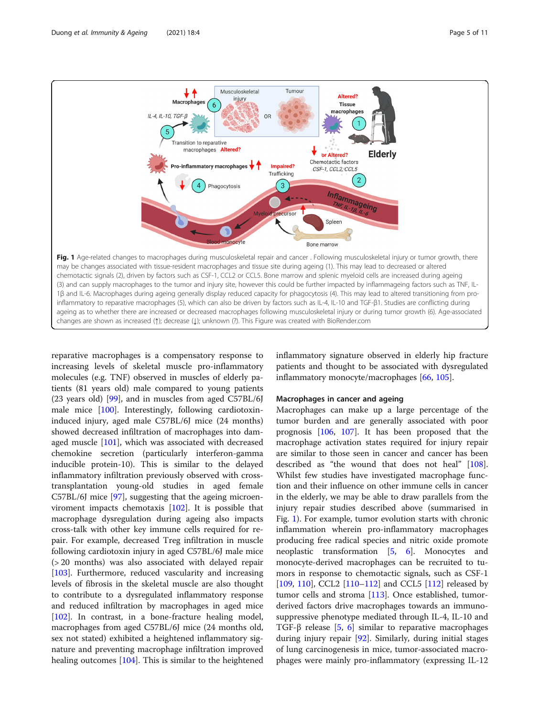<span id="page-4-0"></span>

reparative macrophages is a compensatory response to increasing levels of skeletal muscle pro-inflammatory molecules (e.g. TNF) observed in muscles of elderly patients (81 years old) male compared to young patients (23 years old) [\[99](#page-9-0)], and in muscles from aged C57BL/6J male mice [\[100\]](#page-9-0). Interestingly, following cardiotoxininduced injury, aged male C57BL/6J mice (24 months) showed decreased infiltration of macrophages into damaged muscle [\[101](#page-9-0)], which was associated with decreased chemokine secretion (particularly interferon-gamma inducible protein-10). This is similar to the delayed inflammatory infiltration previously observed with crosstransplantation young-old studies in aged female C57BL/6J mice [[97\]](#page-9-0), suggesting that the ageing microenviroment impacts chemotaxis [\[102](#page-9-0)]. It is possible that macrophage dysregulation during ageing also impacts cross-talk with other key immune cells required for repair. For example, decreased Treg infiltration in muscle following cardiotoxin injury in aged C57BL/6J male mice (> 20 months) was also associated with delayed repair [[103\]](#page-9-0). Furthermore, reduced vascularity and increasing levels of fibrosis in the skeletal muscle are also thought to contribute to a dysregulated inflammatory response and reduced infiltration by macrophages in aged mice [[102\]](#page-9-0). In contrast, in a bone-fracture healing model, macrophages from aged C57BL/6J mice (24 months old, sex not stated) exhibited a heightened inflammatory signature and preventing macrophage infiltration improved healing outcomes [[104](#page-9-0)]. This is similar to the heightened

inflammatory signature observed in elderly hip fracture patients and thought to be associated with dysregulated inflammatory monocyte/macrophages [[66,](#page-8-0) [105\]](#page-9-0).

## Macrophages in cancer and ageing

Macrophages can make up a large percentage of the tumor burden and are generally associated with poor prognosis [\[106](#page-9-0), [107\]](#page-9-0). It has been proposed that the macrophage activation states required for injury repair are similar to those seen in cancer and cancer has been described as "the wound that does not heal" [[108](#page-9-0)]. Whilst few studies have investigated macrophage function and their influence on other immune cells in cancer in the elderly, we may be able to draw parallels from the injury repair studies described above (summarised in Fig. 1). For example, tumor evolution starts with chronic inflammation wherein pro-inflammatory macrophages producing free radical species and nitric oxide promote neoplastic transformation [\[5](#page-7-0), [6\]](#page-7-0). Monocytes and monocyte-derived macrophages can be recruited to tumors in response to chemotactic signals, such as CSF-1 [[109,](#page-9-0) [110\]](#page-9-0), CCL2 [\[110](#page-9-0)–[112\]](#page-9-0) and CCL5 [[112\]](#page-9-0) released by tumor cells and stroma [\[113](#page-9-0)]. Once established, tumorderived factors drive macrophages towards an immunosuppressive phenotype mediated through IL-4, IL-10 and TGF-β release [[5,](#page-7-0) [6](#page-7-0)] similar to reparative macrophages during injury repair [[92\]](#page-9-0). Similarly, during initial stages of lung carcinogenesis in mice, tumor-associated macrophages were mainly pro-inflammatory (expressing IL-12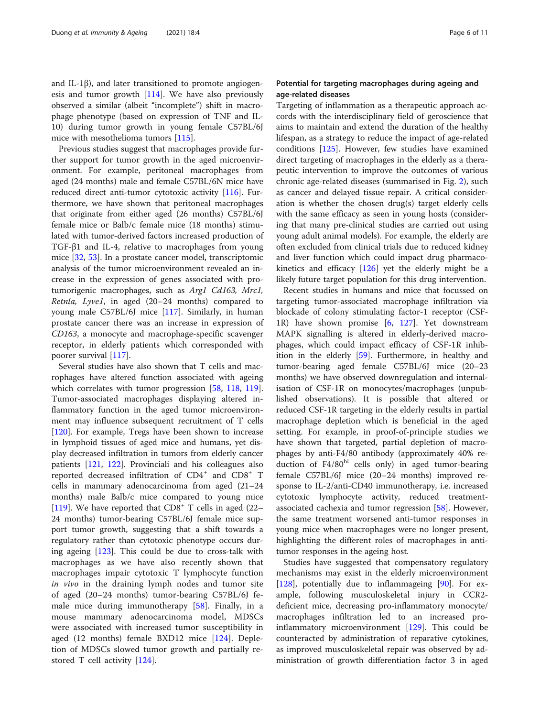and IL-1β), and later transitioned to promote angiogenesis and tumor growth [[114\]](#page-9-0). We have also previously observed a similar (albeit "incomplete") shift in macrophage phenotype (based on expression of TNF and IL-10) during tumor growth in young female C57BL/6J mice with mesothelioma tumors [\[115](#page-9-0)].

Previous studies suggest that macrophages provide further support for tumor growth in the aged microenvironment. For example, peritoneal macrophages from aged (24 months) male and female C57BL/6N mice have reduced direct anti-tumor cytotoxic activity [\[116](#page-9-0)]. Furthermore, we have shown that peritoneal macrophages that originate from either aged (26 months) C57BL/6J female mice or Balb/c female mice (18 months) stimulated with tumor-derived factors increased production of TGF-β1 and IL-4, relative to macrophages from young mice [\[32](#page-8-0), [53](#page-8-0)]. In a prostate cancer model, transcriptomic analysis of the tumor microenvironment revealed an increase in the expression of genes associated with protumorigenic macrophages, such as Arg1 Cd163, Mrc1, Retnla, Lyve1, in aged (20–24 months) compared to young male C57BL/6J mice [[117\]](#page-9-0). Similarly, in human prostate cancer there was an increase in expression of CD163, a monocyte and macrophage-specific scavenger receptor, in elderly patients which corresponded with poorer survival [\[117\]](#page-9-0).

Several studies have also shown that T cells and macrophages have altered function associated with ageing which correlates with tumor progression [[58,](#page-8-0) [118](#page-9-0), [119](#page-9-0)]. Tumor-associated macrophages displaying altered inflammatory function in the aged tumor microenvironment may influence subsequent recruitment of T cells [[120\]](#page-9-0). For example, Tregs have been shown to increase in lymphoid tissues of aged mice and humans, yet display decreased infiltration in tumors from elderly cancer patients [[121,](#page-9-0) [122](#page-9-0)]. Provinciali and his colleagues also reported decreased infiltration of CD4<sup>+</sup> and CD8<sup>+</sup> T cells in mammary adenocarcinoma from aged (21–24 months) male Balb/c mice compared to young mice [[119\]](#page-9-0). We have reported that  $CD8<sup>+</sup>$  T cells in aged (22– 24 months) tumor-bearing C57BL/6J female mice support tumor growth, suggesting that a shift towards a regulatory rather than cytotoxic phenotype occurs during ageing  $[123]$  $[123]$ . This could be due to cross-talk with macrophages as we have also recently shown that macrophages impair cytotoxic T lymphocyte function in vivo in the draining lymph nodes and tumor site of aged (20–24 months) tumor-bearing C57BL/6J female mice during immunotherapy [[58\]](#page-8-0). Finally, in a mouse mammary adenocarcinoma model, MDSCs were associated with increased tumor susceptibility in aged (12 months) female BXD12 mice [[124\]](#page-10-0). Depletion of MDSCs slowed tumor growth and partially restored T cell activity [\[124](#page-10-0)].

# Potential for targeting macrophages during ageing and age-related diseases

Targeting of inflammation as a therapeutic approach accords with the interdisciplinary field of geroscience that aims to maintain and extend the duration of the healthy lifespan, as a strategy to reduce the impact of age-related conditions [\[125](#page-10-0)]. However, few studies have examined direct targeting of macrophages in the elderly as a therapeutic intervention to improve the outcomes of various chronic age-related diseases (summarised in Fig. [2](#page-6-0)), such as cancer and delayed tissue repair. A critical consideration is whether the chosen drug(s) target elderly cells with the same efficacy as seen in young hosts (considering that many pre-clinical studies are carried out using young adult animal models). For example, the elderly are often excluded from clinical trials due to reduced kidney and liver function which could impact drug pharmacokinetics and efficacy [[126\]](#page-10-0) yet the elderly might be a likely future target population for this drug intervention.

Recent studies in humans and mice that focussed on targeting tumor-associated macrophage infiltration via blockade of colony stimulating factor-1 receptor (CSF-1R) have shown promise [\[6](#page-7-0), [127\]](#page-10-0). Yet downstream MAPK signalling is altered in elderly-derived macrophages, which could impact efficacy of CSF-1R inhibition in the elderly [[59\]](#page-8-0). Furthermore, in healthy and tumor-bearing aged female C57BL/6J mice (20–23 months) we have observed downregulation and internalisation of CSF-1R on monocytes/macrophages (unpublished observations). It is possible that altered or reduced CSF-1R targeting in the elderly results in partial macrophage depletion which is beneficial in the aged setting. For example, in proof-of-principle studies we have shown that targeted, partial depletion of macrophages by anti-F4/80 antibody (approximately 40% reduction of F4/80<sup>hi</sup> cells only) in aged tumor-bearing female C57BL/6J mice (20–24 months) improved response to IL-2/anti-CD40 immunotherapy, i.e. increased cytotoxic lymphocyte activity, reduced treatment-associated cachexia and tumor regression [[58](#page-8-0)]. However, the same treatment worsened anti-tumor responses in young mice when macrophages were no longer present, highlighting the different roles of macrophages in antitumor responses in the ageing host.

Studies have suggested that compensatory regulatory mechanisms may exist in the elderly microenvironment [[128\]](#page-10-0), potentially due to inflammageing [[90](#page-9-0)]. For example, following musculoskeletal injury in CCR2 deficient mice, decreasing pro-inflammatory monocyte/ macrophages infiltration led to an increased proinflammatory microenvironment [[129](#page-10-0)]. This could be counteracted by administration of reparative cytokines, as improved musculoskeletal repair was observed by administration of growth differentiation factor 3 in aged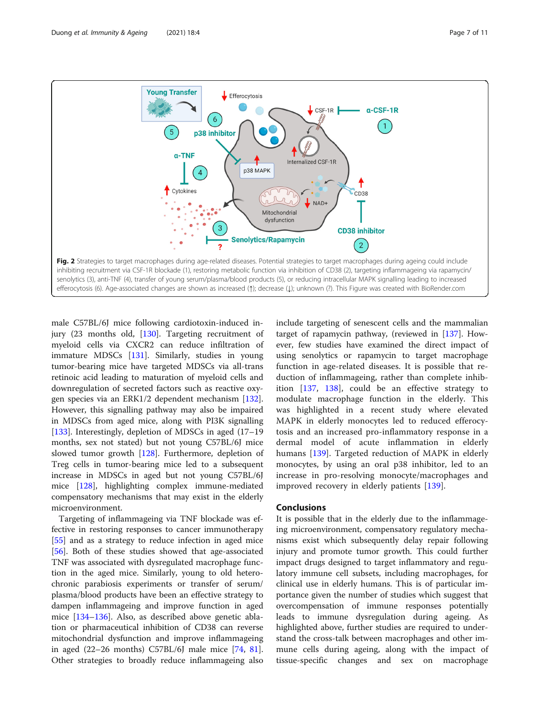<span id="page-6-0"></span>

male C57BL/6J mice following cardiotoxin-induced injury (23 months old, [\[130](#page-10-0)]. Targeting recruitment of myeloid cells via CXCR2 can reduce infiltration of immature MDSCs [[131](#page-10-0)]. Similarly, studies in young tumor-bearing mice have targeted MDSCs via all-trans retinoic acid leading to maturation of myeloid cells and downregulation of secreted factors such as reactive oxygen species via an ERK1/2 dependent mechanism [\[132](#page-10-0)]. However, this signalling pathway may also be impaired in MDSCs from aged mice, along with PI3K signalling [[133\]](#page-10-0). Interestingly, depletion of MDSCs in aged (17–19 months, sex not stated) but not young C57BL/6J mice slowed tumor growth [\[128\]](#page-10-0). Furthermore, depletion of Treg cells in tumor-bearing mice led to a subsequent increase in MDSCs in aged but not young C57BL/6J mice [\[128](#page-10-0)], highlighting complex immune-mediated compensatory mechanisms that may exist in the elderly microenvironment.

Targeting of inflammageing via TNF blockade was effective in restoring responses to cancer immunotherapy [[55\]](#page-8-0) and as a strategy to reduce infection in aged mice [[56\]](#page-8-0). Both of these studies showed that age-associated TNF was associated with dysregulated macrophage function in the aged mice. Similarly, young to old heterochronic parabiosis experiments or transfer of serum/ plasma/blood products have been an effective strategy to dampen inflammageing and improve function in aged mice [[134](#page-10-0)–[136](#page-10-0)]. Also, as described above genetic ablation or pharmaceutical inhibition of CD38 can reverse mitochondrial dysfunction and improve inflammageing in aged (22–26 months) C57BL/6J male mice [[74,](#page-8-0) [81](#page-9-0)]. Other strategies to broadly reduce inflammageing also include targeting of senescent cells and the mammalian target of rapamycin pathway, (reviewed in [\[137\]](#page-10-0). However, few studies have examined the direct impact of using senolytics or rapamycin to target macrophage function in age-related diseases. It is possible that reduction of inflammageing, rather than complete inhibition [\[137](#page-10-0), [138](#page-10-0)], could be an effective strategy to modulate macrophage function in the elderly. This was highlighted in a recent study where elevated MAPK in elderly monocytes led to reduced efferocytosis and an increased pro-inflammatory response in a dermal model of acute inflammation in elderly humans [[139\]](#page-10-0). Targeted reduction of MAPK in elderly monocytes, by using an oral p38 inhibitor, led to an increase in pro-resolving monocyte/macrophages and improved recovery in elderly patients [\[139](#page-10-0)].

# Conclusions

It is possible that in the elderly due to the inflammageing microenvironment, compensatory regulatory mechanisms exist which subsequently delay repair following injury and promote tumor growth. This could further impact drugs designed to target inflammatory and regulatory immune cell subsets, including macrophages, for clinical use in elderly humans. This is of particular importance given the number of studies which suggest that overcompensation of immune responses potentially leads to immune dysregulation during ageing. As highlighted above, further studies are required to understand the cross-talk between macrophages and other immune cells during ageing, along with the impact of tissue-specific changes and sex on macrophage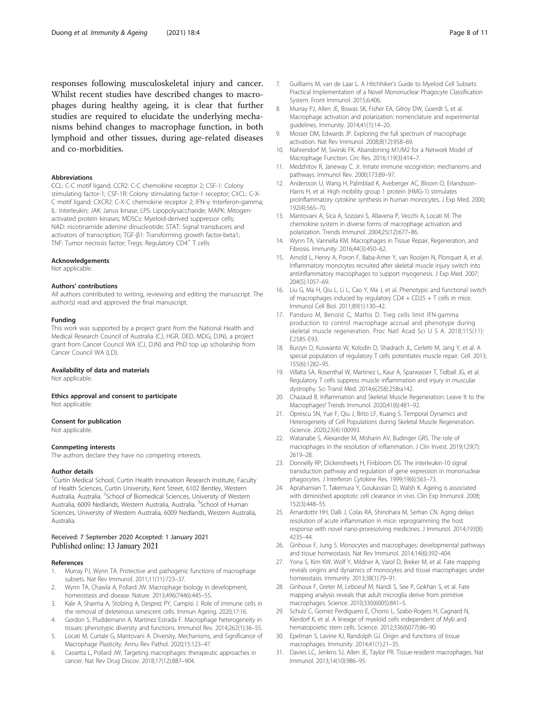<span id="page-7-0"></span>responses following musculoskeletal injury and cancer. Whilst recent studies have described changes to macrophages during healthy ageing, it is clear that further studies are required to elucidate the underlying mechanisms behind changes to macrophage function, in both lymphoid and other tissues, during age-related diseases and co-morbidities.

#### **Abbreviations**

CCL: C-C motif ligand; CCR2: C-C chemokine receptor 2; CSF-1: Colony stimulating factor-1; CSF-1R: Colony stimulating factor-1 receptor; CXCL: C-X-C motif ligand; CXCR2: C-X-C chemokine receptor 2; IFN-γ: Interferon-gamma; IL: Interleukin; JAK: Janus kinase; LPS: Lipopolysaccharide; MAPK: Mitogenactivated protein kinases; MDSCs: Myeloid-derived suppressor cells; NAD: nicotinamide adenine dinucleotide; STAT: Signal transducers and activators of transcription; TGF-β1: Transforming growth factor-beta1; TNF: Tumor necrosis factor; Tregs: Regulatory CD4<sup>+</sup> T cells

#### Acknowledgements

Not applicable.

#### Authors' contributions

All authors contributed to writing, reviewing and editing the manuscript. The author(s) read and approved the final manuscript.

#### Funding

This work was supported by a project grant from the National Health and Medical Research Council of Australia (CJ, HGR, DED, MDG, DJN), a project grant from Cancer Council WA (CJ, DJN) and PhD top up scholarship from Cancer Council WA (LD).

#### Availability of data and materials

Not applicable.

Ethics approval and consent to participate

Not applicable.

#### Consent for publication

Not applicable.

#### Conmpeting interests

The authors declare they have no competing interests.

#### Author details

<sup>1</sup>Curtin Medical School, Curtin Health Innovation Research Institute, Faculty of Health Sciences, Curtin University, Kent Street, 6102 Bentley, Western Australia, Australia. <sup>2</sup>School of Biomedical Sciences, University of Western Australia, 6009 Nedlands, Western Australia, Australia. <sup>3</sup>School of Human Sciences, University of Western Australia, 6009 Nedlands, Western Australia, Australia.

## Received: 7 September 2020 Accepted: 1 January 2021 Published online: 13 January 2021

#### References

- 1. Murray PJ, Wynn TA. Protective and pathogenic functions of macrophage subsets. Nat Rev Immunol. 2011;11(11):723–37.
- Wynn TA, Chawla A, Pollard JW. Macrophage biology in development, homeostasis and disease. Nature. 2013;496(7446):445–55.
- 3. Kale A, Sharma A, Stolzing A, Desprez PY, Campisi J. Role of immune cells in the removal of deleterious senescent cells. Immun Ageing. 2020;17:16.
- 4. Gordon S, Pluddemann A, Martinez Estrada F. Macrophage heterogeneity in tissues: phenotypic diversity and functions. Immunol Rev. 2014;262(1):36–55.
- 5. Locati M, Curtale G, Mantovani A. Diversity, Mechanisms, and Significance of Macrophage Plasticity. Annu Rev Pathol. 2020;15:123–47.
- 6. Cassetta L, Pollard JW. Targeting macrophages: therapeutic approaches in cancer. Nat Rev Drug Discov. 2018;17(12):887–904.
- 7. Guilliams M, van de Laar L. A Hitchhiker's Guide to Myeloid Cell Subsets: Practical Implementation of a Novel Mononuclear Phagocyte Classification System. Front Immunol. 2015;6:406.
- 8. Murray PJ, Allen JE, Biswas SK, Fisher EA, Gilroy DW, Goerdt S, et al. Macrophage activation and polarization: nomenclature and experimental guidelines. Immunity. 2014;41(1):14–20.
- 9. Mosser DM, Edwards JP. Exploring the full spectrum of macrophage activation. Nat Rev Immunol. 2008;8(12):958–69.
- 10. Nahrendorf M, Swirski FK. Abandoning M1/M2 for a Network Model of Macrophage Function. Circ Res. 2016;119(3):414–7.
- 11. Medzhitov R, Janeway C. Jr. Innate immune recognition: mechanisms and pathways. Immunol Rev. 2000;173:89–97.
- 12. Andersson U, Wang H, Palmblad K, Aveberger AC, Bloom O, Erlandsson-Harris H, et al. High mobility group 1 protein (HMG-1) stimulates proinflammatory cytokine synthesis in human monocytes. J Exp Med. 2000; 192(4):565–70.
- 13. Mantovani A, Sica A, Sozzani S, Allavena P, Vecchi A, Locati M. The chemokine system in diverse forms of macrophage activation and polarization. Trends Immunol. 2004;25(12):677–86.
- 14. Wynn TA, Vannella KM. Macrophages in Tissue Repair, Regeneration, and Fibrosis. Immunity. 2016;44(3):450–62.
- 15. Arnold L, Henry A, Poron F, Baba-Amer Y, van Rooijen N, Plonquet A, et al. Inflammatory monocytes recruited after skeletal muscle injury switch into antiinflammatory macrophages to support myogenesis. J Exp Med. 2007; 204(5):1057–69.
- 16. Liu G, Ma H, Qiu L, Li L, Cao Y, Ma J, et al. Phenotypic and functional switch of macrophages induced by regulatory CD4 + CD25 + T cells in mice. Immunol Cell Biol. 2011;89(1):130–42.
- 17. Panduro M, Benoist C, Mathis D. Treg cells limit IFN-gamma production to control macrophage accrual and phenotype during skeletal muscle regeneration. Proc Natl Acad Sci U S A. 2018;115(11): E2585-E93.
- 18. Burzyn D, Kuswanto W, Kolodin D, Shadrach JL, Cerletti M, Jang Y, et al. A special population of regulatory T cells potentiates muscle repair. Cell. 2013; 155(6):1282–95.
- 19. Villalta SA, Rosenthal W, Martinez L, Kaur A, Sparwasser T, Tidball JG, et al. Regulatory T cells suppress muscle inflammation and injury in muscular dystrophy. Sci Transl Med. 2014;6(258):258ra142.
- 20. Chazaud B. Inflammation and Skeletal Muscle Regeneration: Leave It to the Macrophages! Trends Immunol. 2020;41(6):481–92.
- 21. Oprescu SN, Yue F, Qiu J, Brito LF, Kuang S. Temporal Dynamics and Heterogeneity of Cell Populations during Skeletal Muscle Regeneration. iScience. 2020;23(4):100993.
- 22. Watanabe S, Alexander M, Misharin AV, Budinger GRS. The role of macrophages in the resolution of inflammation. J Clin Invest. 2019;129(7): 2619–28.
- 23. Donnelly RP, Dickensheets H, Finbloom DS. The interleukin-10 signal transduction pathway and regulation of gene expression in mononuclear phagocytes. J Interferon Cytokine Res. 1999;19(6):563–73.
- 24. Aprahamian T, Takemura Y, Goukassian D, Walsh K. Ageing is associated with diminished apoptotic cell clearance in vivo. Clin Exp Immunol. 2008; 152(3):448–55.
- 25. Arnardottir HH, Dalli J, Colas RA, Shinohara M, Serhan CN. Aging delays resolution of acute inflammation in mice: reprogramming the host response with novel nano-proresolving medicines. J Immunol. 2014;193(8): 4235–44.
- 26. Ginhoux F, Jung S. Monocytes and macrophages: developmental pathways and tissue homeostasis. Nat Rev Immunol. 2014;14(6):392–404.
- 27. Yona S, Kim KW, Wolf Y, Mildner A, Varol D, Breker M, et al. Fate mapping reveals origins and dynamics of monocytes and tissue macrophages under homeostasis. Immunity. 2013;38(1):79–91.
- 28. Ginhoux F, Greter M, Leboeuf M, Nandi S, See P, Gokhan S, et al. Fate mapping analysis reveals that adult microglia derive from primitive macrophages. Science. 2010;330(6005):841–5.
- 29. Schulz C, Gomez Perdiguero E, Chorro L, Szabo-Rogers H, Cagnard N, Kierdorf K, et al. A lineage of myeloid cells independent of Myb and hematopoietic stem cells. Science. 2012;336(6077):86–90.
- 30. Epelman S, Lavine KJ, Randolph GJ. Origin and functions of tissue macrophages. Immunity. 2014;41(1):21–35.
- 31. Davies LC, Jenkins SJ, Allen JE, Taylor PR. Tissue-resident macrophages. Nat Immunol. 2013;14(10):986–95.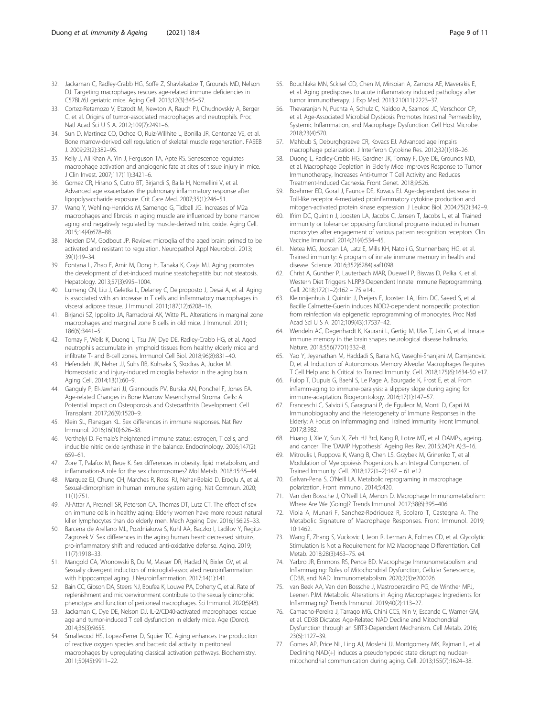- <span id="page-8-0"></span>32. Jackaman C, Radley-Crabb HG, Soffe Z, Shavlakadze T, Grounds MD, Nelson DJ. Targeting macrophages rescues age-related immune deficiencies in C57BL/6J geriatric mice. Aging Cell. 2013;12(3):345–57.
- 33. Cortez-Retamozo V, Etzrodt M, Newton A, Rauch PJ, Chudnovskiy A, Berger C, et al. Origins of tumor-associated macrophages and neutrophils. Proc Natl Acad Sci U S A. 2012;109(7):2491–6.
- 34. Sun D, Martinez CO, Ochoa O, Ruiz-Willhite L, Bonilla JR, Centonze VE, et al. Bone marrow-derived cell regulation of skeletal muscle regeneration. FASEB J. 2009;23(2):382–95.
- 35. Kelly J, Ali Khan A, Yin J, Ferguson TA, Apte RS. Senescence regulates macrophage activation and angiogenic fate at sites of tissue injury in mice. J Clin Invest. 2007;117(11):3421–6.
- 36. Gomez CR, Hirano S, Cutro BT, Birjandi S, Baila H, Nomellini V, et al. Advanced age exacerbates the pulmonary inflammatory response after lipopolysaccharide exposure. Crit Care Med. 2007;35(1):246–51.
- 37. Wang Y, Wehling-Henricks M, Samengo G, Tidball JG. Increases of M2a macrophages and fibrosis in aging muscle are influenced by bone marrow aging and negatively regulated by muscle-derived nitric oxide. Aging Cell. 2015;14(4):678–88.
- 38. Norden DM, Godbout JP. Review: microglia of the aged brain: primed to be activated and resistant to regulation. Neuropathol Appl Neurobiol. 2013; 39(1):19–34.
- 39. Fontana L, Zhao E, Amir M, Dong H, Tanaka K, Czaja MJ. Aging promotes the development of diet-induced murine steatohepatitis but not steatosis. Hepatology. 2013;57(3):995–1004.
- 40. Lumeng CN, Liu J, Geletka L, Delaney C, Delproposto J, Desai A, et al. Aging is associated with an increase in T cells and inflammatory macrophages in visceral adipose tissue. J Immunol. 2011;187(12):6208–16.
- 41. Birjandi SZ, Ippolito JA, Ramadorai AK, Witte PL. Alterations in marginal zone macrophages and marginal zone B cells in old mice. J Immunol. 2011; 186(6):3441–51.
- 42. Tomay F, Wells K, Duong L, Tsu JW, Dye DE, Radley-Crabb HG, et al. Aged neutrophils accumulate in lymphoid tissues from healthy elderly mice and infiltrate T- and B-cell zones. Immunol Cell Biol. 2018;96(8):831–40.
- 43. Hefendehl JK, Neher JJ, Suhs RB, Kohsaka S, Skodras A, Jucker M. Homeostatic and injury-induced microglia behavior in the aging brain. Aging Cell. 2014;13(1):60–9.
- 44. Ganguly P, El-Jawhari JJ, Giannoudis PV, Burska AN, Ponchel F, Jones EA. Age-related Changes in Bone Marrow Mesenchymal Stromal Cells: A Potential Impact on Osteoporosis and Osteoarthritis Development. Cell Transplant. 2017;26(9):1520–9.
- 45. Klein SL, Flanagan KL. Sex differences in immune responses. Nat Rev Immunol. 2016;16(10):626–38.
- 46. Verthelyi D. Female's heightened immune status: estrogen, T cells, and inducible nitric oxide synthase in the balance. Endocrinology. 2006;147(2): 659–61.
- Zore T, Palafox M, Reue K. Sex differences in obesity, lipid metabolism, and inflammation-A role for the sex chromosomes? Mol Metab. 2018;15:35–44.
- 48. Marquez EJ, Chung CH, Marches R, Rossi RJ, Nehar-Belaid D, Eroglu A, et al. Sexual-dimorphism in human immune system aging. Nat Commun. 2020; 11(1):751.
- 49. Al-Attar A, Presnell SR, Peterson CA, Thomas DT, Lutz CT. The effect of sex on immune cells in healthy aging: Elderly women have more robust natural killer lymphocytes than do elderly men. Mech Ageing Dev. 2016;156:25–33.
- 50. Barcena de Arellano ML, Pozdniakova S, Kuhl AA, Baczko I, Ladilov Y, Regitz-Zagrosek V. Sex differences in the aging human heart: decreased sirtuins, pro-inflammatory shift and reduced anti-oxidative defense. Aging. 2019; 11(7):1918–33.
- 51. Mangold CA, Wronowski B, Du M, Masser DR, Hadad N, Bixler GV, et al. Sexually divergent induction of microglial-associated neuroinflammation with hippocampal aging. J Neuroinflammation. 2017;14(1):141.
- 52. Bain CC, Gibson DA, Steers NJ, Boufea K, Louwe PA, Doherty C, et al. Rate of replenishment and microenvironment contribute to the sexually dimorphic phenotype and function of peritoneal macrophages. Sci Immunol. 2020;5(48).
- 53. Jackaman C, Dye DE, Nelson DJ. IL-2/CD40-activated macrophages rescue age and tumor-induced T cell dysfunction in elderly mice. Age (Dordr). 2014;36(3):9655.
- 54. Smallwood HS, Lopez-Ferrer D, Squier TC. Aging enhances the production of reactive oxygen species and bactericidal activity in peritoneal macrophages by upregulating classical activation pathways. Biochemistry. 2011;50(45):9911–22.
- 55. Bouchlaka MN, Sckisel GD, Chen M, Mirsoian A, Zamora AE, Maverakis E, et al. Aging predisposes to acute inflammatory induced pathology after tumor immunotherapy. J Exp Med. 2013;210(11):2223–37.
- 56. Thevaranjan N, Puchta A, Schulz C, Naidoo A, Szamosi JC, Verschoor CP, et al. Age-Associated Microbial Dysbiosis Promotes Intestinal Permeability, Systemic Inflammation, and Macrophage Dysfunction. Cell Host Microbe. 2018;23(4):570.
- 57. Mahbub S, Deburghgraeve CR, Kovacs EJ. Advanced age impairs macrophage polarization. J Interferon Cytokine Res. 2012;32(1):18–26.
- 58. Duong L, Radley-Crabb HG, Gardner JK, Tomay F, Dye DE, Grounds MD, et al. Macrophage Depletion in Elderly Mice Improves Response to Tumor Immunotherapy, Increases Anti-tumor T Cell Activity and Reduces Treatment-Induced Cachexia. Front Genet. 2018;9:526.
- 59. Boehmer ED, Goral J, Faunce DE, Kovacs EJ. Age-dependent decrease in Toll-like receptor 4-mediated proinflammatory cytokine production and mitogen-activated protein kinase expression. J Leukoc Biol. 2004;75(2):342–9.
- 60. Ifrim DC, Quintin J, Joosten LA, Jacobs C, Jansen T, Jacobs L, et al. Trained immunity or tolerance: opposing functional programs induced in human monocytes after engagement of various pattern recognition receptors. Clin Vaccine Immunol. 2014;21(4):534–45.
- 61. Netea MG, Joosten LA, Latz E, Mills KH, Natoli G, Stunnenberg HG, et al. Trained immunity: A program of innate immune memory in health and disease. Science. 2016;352(6284):aaf1098.
- 62. Christ A, Gunther P, Lauterbach MAR, Duewell P, Biswas D, Pelka K, et al. Western Diet Triggers NLRP3-Dependent Innate Immune Reprogramming. Cell. 2018;172(1–2):162 – 75 e14..
- 63. Kleinnijenhuis J, Quintin J, Preijers F, Joosten LA, Ifrim DC, Saeed S, et al. Bacille Calmette-Guerin induces NOD2-dependent nonspecific protection from reinfection via epigenetic reprogramming of monocytes. Proc Natl Acad Sci U S A. 2012;109(43):17537–42.
- 64. Wendeln AC, Degenhardt K, Kaurani L, Gertig M, Ulas T, Jain G, et al. Innate immune memory in the brain shapes neurological disease hallmarks. Nature. 2018;556(7701):332–8.
- 65. Yao Y, Jeyanathan M, Haddadi S, Barra NG, Vaseghi-Shanjani M, Damjanovic D, et al. Induction of Autonomous Memory Alveolar Macrophages Requires T Cell Help and Is Critical to Trained Immunity. Cell. 2018;175(6):1634-50 e17.
- 66. Fulop T, Dupuis G, Baehl S, Le Page A, Bourgade K, Frost E, et al. From inflamm-aging to immune-paralysis: a slippery slope during aging for immune-adaptation. Biogerontology. 2016;17(1):147–57.
- 67. Franceschi C, Salvioli S, Garagnani P, de Eguileor M, Monti D, Capri M. Immunobiography and the Heterogeneity of Immune Responses in the Elderly: A Focus on Inflammaging and Trained Immunity. Front Immunol. 2017;8:982.
- 68. Huang J, Xie Y, Sun X, Zeh HJ 3rd, Kang R, Lotze MT, et al. DAMPs, ageing, and cancer: The 'DAMP Hypothesis'. Ageing Res Rev. 2015;24(Pt A):3–16.
- 69. Mitroulis I, Ruppova K, Wang B, Chen LS, Grzybek M, Grinenko T, et al. Modulation of Myelopoiesis Progenitors Is an Integral Component of Trained Immunity. Cell. 2018;172(1–2):147 – 61 e12.
- 70. Galvan-Pena S, O'Neill LA. Metabolic reprograming in macrophage polarization. Front Immunol. 2014;5:420.
- 71. Van den Bossche J, O'Neill LA, Menon D. Macrophage Immunometabolism: Where Are We (Going)? Trends Immunol. 2017;38(6):395–406.
- 72. Viola A, Munari F, Sanchez-Rodriguez R, Scolaro T, Castegna A. The Metabolic Signature of Macrophage Responses. Front Immunol. 2019; 10:1462.
- 73. Wang F, Zhang S, Vuckovic I, Jeon R, Lerman A, Folmes CD, et al. Glycolytic Stimulation Is Not a Requirement for M2 Macrophage Differentiation. Cell Metab. 2018;28(3):463–75. e4.
- 74. Yarbro JR, Emmons RS, Pence BD. Macrophage Immunometabolism and Inflammaging: Roles of Mitochondrial Dysfunction, Cellular Senescence, CD38, and NAD. Immunometabolism. 2020;2(3):e200026.
- 75. van Beek AA, Van den Bossche J, Mastroberardino PG, de Winther MPJ, Leenen PJM. Metabolic Alterations in Aging Macrophages: Ingredients for Inflammaging? Trends Immunol. 2019;40(2):113–27.
- 76. Camacho-Pereira J, Tarrago MG, Chini CCS, Nin V, Escande C, Warner GM, et al. CD38 Dictates Age-Related NAD Decline and Mitochondrial Dysfunction through an SIRT3-Dependent Mechanism. Cell Metab. 2016; 23(6):1127–39.
- 77. Gomes AP, Price NL, Ling AJ, Moslehi JJ, Montgomery MK, Rajman L, et al. Declining NAD(+) induces a pseudohypoxic state disrupting nuclearmitochondrial communication during aging. Cell. 2013;155(7):1624–38.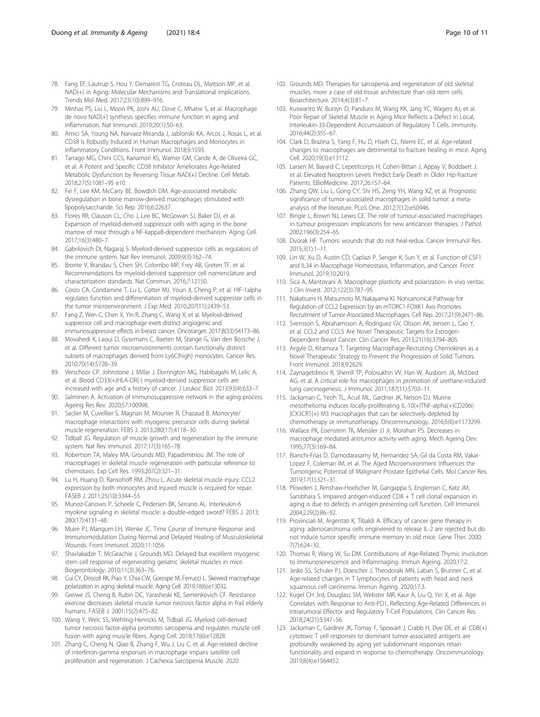- <span id="page-9-0"></span>78. Fang EF, Lautrup S, Hou Y, Demarest TG, Croteau DL, Mattson MP, et al. NAD(+) in Aging: Molecular Mechanisms and Translational Implications. Trends Mol Med. 2017;23(10):899–916.
- 79. Minhas PS, Liu L, Moon PK, Joshi AU, Dove C, Mhatre S, et al. Macrophage de novo NAD(+) synthesis specifies immune function in aging and inflammation. Nat Immunol. 2019;20(1):50–63.
- 80. Amici SA, Young NA, Narvaez-Miranda J, Jablonski KA, Arcos J, Rosas L, et al. CD38 Is Robustly Induced in Human Macrophages and Monocytes in Inflammatory Conditions. Front Immunol. 2018;9:1593.
- 81. Tarrago MG, Chini CCS, Kanamori KS, Warner GM, Caride A, de Oliveira GC, et al. A Potent and Specific CD38 Inhibitor Ameliorates Age-Related Metabolic Dysfunction by Reversing Tissue NAD(+) Decline. Cell Metab. 2018;27(5):1081–95 e10.
- 82. Fei F, Lee KM, McCarry BE, Bowdish DM. Age-associated metabolic dysregulation in bone marrow-derived macrophages stimulated with lipopolysaccharide. Sci Rep. 2016;6:22637.
- 83. Flores RR, Clauson CL, Cho J, Lee BC, McGowan SJ, Baker DJ, et al. Expansion of myeloid-derived suppressor cells with aging in the bone marrow of mice through a NF-kappaB-dependent mechanism. Aging Cell. 2017;16(3):480–7.
- 84. Gabrilovich DI, Nagaraj S. Myeloid-derived suppressor cells as regulators of the immune system. Nat Rev Immunol. 2009;9(3):162–74.
- 85. Bronte V, Brandau S, Chen SH, Colombo MP, Frey AB, Greten TF, et al. Recommendations for myeloid-derived suppressor cell nomenclature and characterization standards. Nat Commun. 2016;7:12150.
- 86. Corzo CA, Condamine T, Lu L, Cotter MJ, Youn JI, Cheng P, et al. HIF-1alpha regulates function and differentiation of myeloid-derived suppressor cells in the tumor microenvironment. J Exp Med. 2010;207(11):2439–53.
- 87. Fang Z, Wen C, Chen X, Yin R, Zhang C, Wang X, et al. Myeloid-derived suppressor cell and macrophage exert distinct angiogenic and immunosuppressive effects in breast cancer. Oncotarget. 2017;8(33):54173–86.
- 88. Movahedi K, Laoui D, Gysemans C, Baeten M, Stange G, Van den Bossche J, et al. Different tumor microenvironments contain functionally distinct subsets of macrophages derived from Ly6C(high) monocytes. Cancer Res. 2010;70(14):5728–39.
- 89. Verschoor CP, Johnstone J, Millar J, Dorrington MG, Habibagahi M, Lelic A, et al. Blood CD33(+)HLA-DR(-) myeloid-derived suppressor cells are increased with age and a history of cancer. J Leukoc Biol. 2013;93(4):633–7.
- 90. Salminen A. Activation of immunosuppressive network in the aging process. Ageing Res Rev. 2020;57:100998.
- 91. Saclier M, Cuvellier S, Magnan M, Mounier R, Chazaud B. Monocyte/ macrophage interactions with myogenic precursor cells during skeletal muscle regeneration. FEBS J. 2013;280(17):4118–30.
- 92. Tidball JG. Regulation of muscle growth and regeneration by the immune system. Nat Rev Immunol. 2017;17(3):165–78.
- 93. Robertson TA, Maley MA, Grounds MD, Papadimitriou JM. The role of macrophages in skeletal muscle regeneration with particular reference to chemotaxis. Exp Cell Res. 1993;207(2):321–31.
- 94. Lu H, Huang D, Ransohoff RM, Zhou L. Acute skeletal muscle injury: CCL2 expression by both monocytes and injured muscle is required for repair. FASEB J. 2011;25(10):3344–55.
- 95. Munoz-Canoves P, Scheele C, Pedersen BK, Serrano AL. Interleukin-6 myokine signaling in skeletal muscle: a double-edged sword? FEBS J. 2013; 280(17):4131–48.
- 96. Muire PJ, Mangum LH, Wenke JC. Time Course of Immune Response and Immunomodulation During Normal and Delayed Healing of Musculoskeletal Wounds. Front Immunol. 2020;11:1056.
- 97. Shavlakadze T, McGeachie J, Grounds MD. Delayed but excellent myogenic stem cell response of regenerating geriatric skeletal muscles in mice. Biogerontology. 2010;11(3):363–76.
- 98. Cui CY, Driscoll RK, Piao Y, Chia CW, Gorospe M, Ferrucci L. Skewed macrophage polarization in aging skeletal muscle. Aging Cell. 2019;18(6):e13032.
- 99. Greiwe JS, Cheng B, Rubin DC, Yarasheski KE, Semenkovich CF. Resistance exercise decreases skeletal muscle tumor necrosis factor alpha in frail elderly humans. FASEB J. 2001;15(2):475–82.
- 100. Wang Y, Welc SS, Wehling-Henricks M, Tidball JG. Myeloid cell-derived tumor necrosis factor-alpha promotes sarcopenia and regulates muscle cell fusion with aging muscle fibers. Aging Cell. 2018;17(6):e12828.
- 101. Zhang C, Cheng N, Qiao B, Zhang F, Wu J, Liu C, et al. Age-related decline of interferon-gamma responses in macrophage impairs satellite cell proliferation and regeneration. J Cachexia Sarcopenia Muscle. 2020.
- 102. Grounds MD. Therapies for sarcopenia and regeneration of old skeletal muscles: more a case of old tissue architecture than old stem cells. Bioarchitecture. 2014;4(3):81–7.
- 103. Kuswanto W, Burzyn D, Panduro M, Wang KK, Jang YC, Wagers AJ, et al. Poor Repair of Skeletal Muscle in Aging Mice Reflects a Defect in Local, Interleukin-33-Dependent Accumulation of Regulatory T Cells. Immunity. 2016;44(2):355–67.
- 104. Clark D, Brazina S, Yang F, Hu D, Hsieh CL, Niemi EC, et al. Age-related changes to macrophages are detrimental to fracture healing in mice. Aging Cell. 2020;19(3):e13112.
- 105. Larsen M, Bayard C, Lepetitcorps H, Cohen-Bittan J, Appay V, Boddaert J, et al. Elevated Neopterin Levels Predict Early Death in Older Hip-fracture Patients. EBioMedicine. 2017;26:157–64.
- 106. Zhang QW, Liu L, Gong CY, Shi HS, Zeng YH, Wang XZ, et al. Prognostic significance of tumor-associated macrophages in solid tumor: a metaanalysis of the literature. PLoS One. 2012;7(12):e50946.
- 107. Bingle L, Brown NJ, Lewis CE. The role of tumour-associated macrophages in tumour progression: implications for new anticancer therapies. J Pathol. 2002;196(3):254–65.
- 108. Dvorak HF. Tumors: wounds that do not heal-redux. Cancer Immunol Res. 2015;3(1):1–11.
- 109. Lin W, Xu D, Austin CD, Caplazi P, Senger K, Sun Y, et al. Function of CSF1 and IL34 in Macrophage Homeostasis, Inflammation, and Cancer. Front Immunol. 2019;10:2019.
- 110. Sica A, Mantovani A. Macrophage plasticity and polarization: in vivo veritas. J Clin Invest. 2012;122(3):787–95.
- 111. Nakatsumi H, Matsumoto M, Nakayama KI. Noncanonical Pathway for Regulation of CCL2 Expression by an mTORC1-FOXK1 Axis Promotes Recruitment of Tumor-Associated Macrophages. Cell Rep. 2017;21(9):2471–86.
- 112. Svensson S, Abrahamsson A, Rodriguez GV, Olsson AK, Jensen L, Cao Y, et al. CCL2 and CCL5 Are Novel Therapeutic Targets for Estrogen-Dependent Breast Cancer. Clin Cancer Res. 2015;21(16):3794–805.
- 113. Argyle D, Kitamura T. Targeting Macrophage-Recruiting Chemokines as a Novel Therapeutic Strategy to Prevent the Progression of Solid Tumors. Front Immunol. 2018;9:2629.
- 114. Zaynagetdinov R, Sherrill TP, Polosukhin VV, Han W, Ausborn JA, McLoed AG, et al. A critical role for macrophages in promotion of urethane-induced lung carcinogenesis. J Immunol. 2011;187(11):5703–11.
- 115. Jackaman C, Yeoh TL, Acuil ML, Gardner JK, Nelson DJ. Murine mesothelioma induces locally-proliferating IL-10(+)TNF-alpha(+)CD206(- )CX3CR1(+) M3 macrophages that can be selectively depleted by chemotherapy or immunotherapy. Oncoimmunology. 2016;5(6):e1173299.
- 116. Wallace PK, Eisenstein TK, Meissler JJ Jr, Morahan PS. Decreases in macrophage mediated antitumor activity with aging. Mech Ageing Dev. 1995;77(3):169–84.
- 117. Bianchi-Frias D, Damodarasamy M, Hernandez SA, Gil da Costa RM, Vakar-Lopez F, Coleman IM, et al. The Aged Microenvironment Influences the Tumorigenic Potential of Malignant Prostate Epithelial Cells. Mol Cancer Res. 2019;17(1):321–31.
- 118. Plowden J, Renshaw-Hoelscher M, Gangappa S, Engleman C, Katz JM, Sambhara S. Impaired antigen-induced CD8 + T cell clonal expansion in aging is due to defects in antigen presenting cell function. Cell Immunol. 2004;229(2):86–92.
- 119. Provinciali M, Argentati K, Tibaldi A. Efficacy of cancer gene therapy in aging: adenocarcinoma cells engineered to release IL-2 are rejected but do not induce tumor specific immune memory in old mice. Gene Ther. 2000; 7(7):624–32.
- 120. Thomas R, Wang W, Su DM. Contributions of Age-Related Thymic Involution to Immunosenescence and Inflammaging. Immun Ageing. 2020;17:2.
- 121. Jeske SS, Schuler PJ, Doescher J, Theodoraki MN, Laban S, Brunner C, et al. Age-related changes in T lymphocytes of patients with head and neck squamous cell carcinoma. Immun Ageing. 2020;17:3.
- 122. Kugel CH 3rd, Douglass SM, Webster MR, Kaur A, Liu Q, Yin X, et al. Age Correlates with Response to Anti-PD1, Reflecting Age-Related Differences in Intratumoral Effector and Regulatory T-Cell Populations. Clin Cancer Res. 2018;24(21):5347–56.
- 123. Jackaman C, Gardner JK, Tomay F, Spowart J, Crabb H, Dye DE, et al. CD8(+) cytotoxic T cell responses to dominant tumor-associated antigens are profoundly weakened by aging yet subdominant responses retain functionality and expand in response to chemotherapy. Oncoimmunology. 2019;8(4):e1564452.